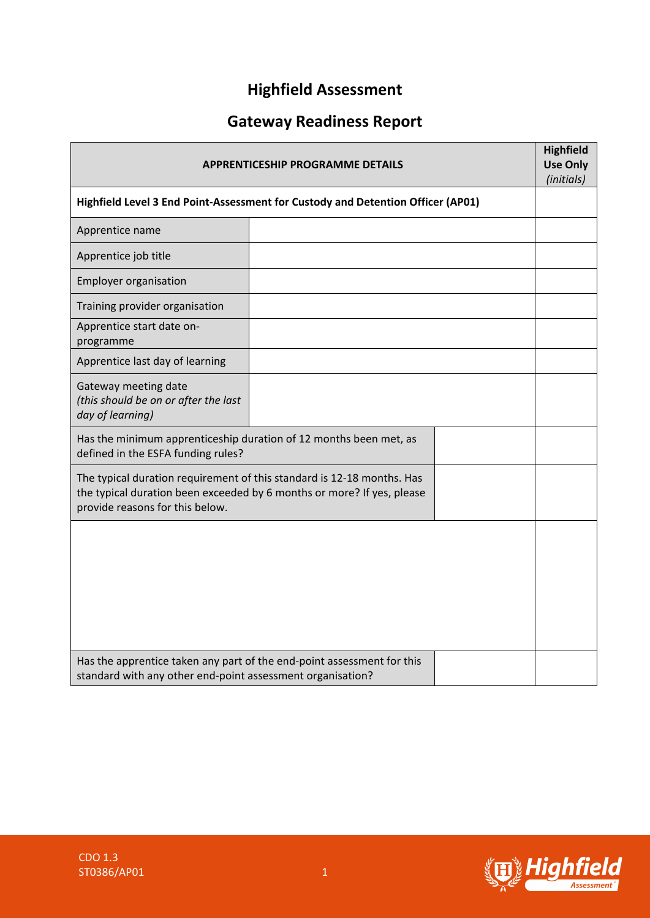# **Highfield Assessment**

# **Gateway Readiness Report**

| APPRENTICESHIP PROGRAMME DETAILS<br>Highfield Level 3 End Point-Assessment for Custody and Detention Officer (AP01) |                                                                                                                                                  |  | <b>Highfield</b><br><b>Use Only</b><br>(initials) |
|---------------------------------------------------------------------------------------------------------------------|--------------------------------------------------------------------------------------------------------------------------------------------------|--|---------------------------------------------------|
|                                                                                                                     |                                                                                                                                                  |  |                                                   |
| Apprentice name                                                                                                     |                                                                                                                                                  |  |                                                   |
| Apprentice job title                                                                                                |                                                                                                                                                  |  |                                                   |
| <b>Employer organisation</b>                                                                                        |                                                                                                                                                  |  |                                                   |
| Training provider organisation                                                                                      |                                                                                                                                                  |  |                                                   |
| Apprentice start date on-<br>programme                                                                              |                                                                                                                                                  |  |                                                   |
| Apprentice last day of learning                                                                                     |                                                                                                                                                  |  |                                                   |
| Gateway meeting date<br>(this should be on or after the last<br>day of learning)                                    |                                                                                                                                                  |  |                                                   |
| Has the minimum apprenticeship duration of 12 months been met, as<br>defined in the ESFA funding rules?             |                                                                                                                                                  |  |                                                   |
| provide reasons for this below.                                                                                     | The typical duration requirement of this standard is 12-18 months. Has<br>the typical duration been exceeded by 6 months or more? If yes, please |  |                                                   |
|                                                                                                                     |                                                                                                                                                  |  |                                                   |
| standard with any other end-point assessment organisation?                                                          | Has the apprentice taken any part of the end-point assessment for this                                                                           |  |                                                   |

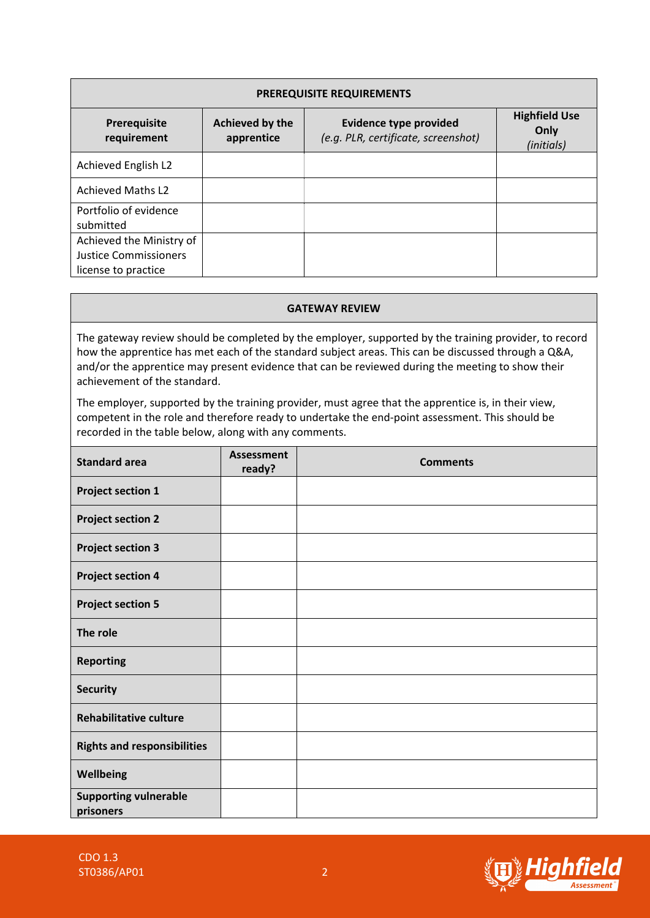| <b>PREREQUISITE REQUIREMENTS</b>   |                               |                                                                      |                                            |  |  |
|------------------------------------|-------------------------------|----------------------------------------------------------------------|--------------------------------------------|--|--|
| Prerequisite<br>requirement        | Achieved by the<br>apprentice | <b>Evidence type provided</b><br>(e.g. PLR, certificate, screenshot) | <b>Highfield Use</b><br>Only<br>(initials) |  |  |
| Achieved English L2                |                               |                                                                      |                                            |  |  |
| <b>Achieved Maths L2</b>           |                               |                                                                      |                                            |  |  |
| Portfolio of evidence<br>submitted |                               |                                                                      |                                            |  |  |
| Achieved the Ministry of           |                               |                                                                      |                                            |  |  |
| Justice Commissioners              |                               |                                                                      |                                            |  |  |
| license to practice                |                               |                                                                      |                                            |  |  |

### **GATEWAY REVIEW**

The gateway review should be completed by the employer, supported by the training provider, to record how the apprentice has met each of the standard subject areas. This can be discussed through a Q&A, and/or the apprentice may present evidence that can be reviewed during the meeting to show their achievement of the standard.

The employer, supported by the training provider, must agree that the apprentice is, in their view, competent in the role and therefore ready to undertake the end-point assessment. This should be recorded in the table below, along with any comments.

| <b>Standard area</b>                      | <b>Assessment</b><br>ready? | <b>Comments</b> |
|-------------------------------------------|-----------------------------|-----------------|
| <b>Project section 1</b>                  |                             |                 |
| <b>Project section 2</b>                  |                             |                 |
| <b>Project section 3</b>                  |                             |                 |
| <b>Project section 4</b>                  |                             |                 |
| <b>Project section 5</b>                  |                             |                 |
| The role                                  |                             |                 |
| <b>Reporting</b>                          |                             |                 |
| <b>Security</b>                           |                             |                 |
| <b>Rehabilitative culture</b>             |                             |                 |
| <b>Rights and responsibilities</b>        |                             |                 |
| Wellbeing                                 |                             |                 |
| <b>Supporting vulnerable</b><br>prisoners |                             |                 |

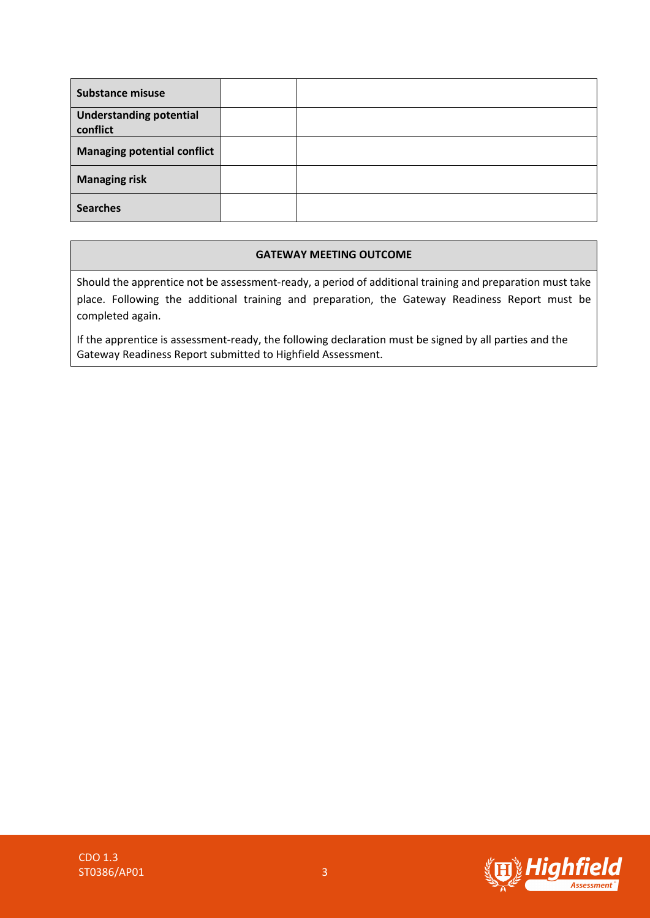| <b>Substance misuse</b>                    |  |
|--------------------------------------------|--|
| <b>Understanding potential</b><br>conflict |  |
| <b>Managing potential conflict</b>         |  |
| <b>Managing risk</b>                       |  |
| <b>Searches</b>                            |  |

### **GATEWAY MEETING OUTCOME**

Should the apprentice not be assessment-ready, a period of additional training and preparation must take place. Following the additional training and preparation, the Gateway Readiness Report must be completed again.

If the apprentice is assessment-ready, the following declaration must be signed by all parties and the Gateway Readiness Report submitted to Highfield Assessment.